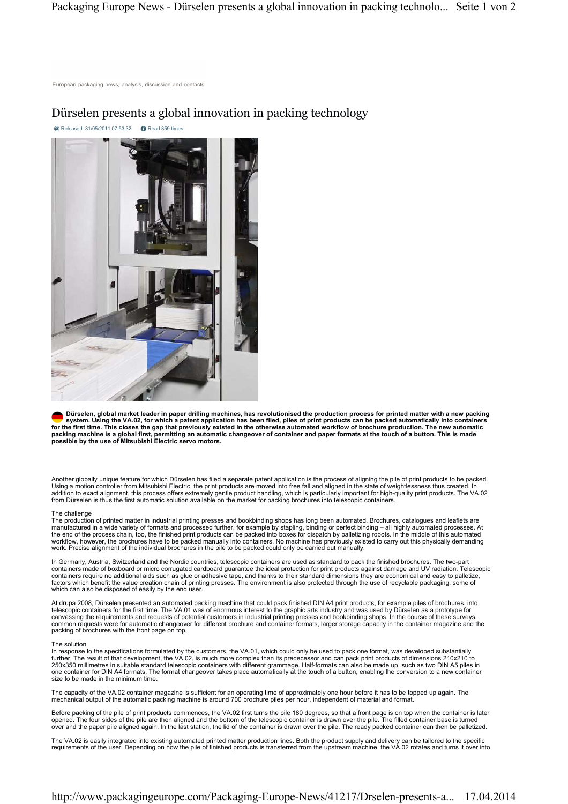# Dürselen presents a global innovation in packing technology

**C** Released: 31/05/2011 07:53:32 **C** Read 859 times



Dürselen, global market leader in paper drilling machines, has revolutionised the production process for printed matter with a new packing<br>system. Using the VA.02, for which a patent application has been filed, piles of pr **for the first time. This closes the gap that previously existed in the otherwise automated workflow of brochure production. The new automatic packing machine is a global first, permitting an automatic changeover of container and paper formats at the touch of a button. This is made possible by the use of Mitsubishi Electric servo motors.** 

Another globally unique feature for which Dürselen has filed a separate patent application is the process of aligning the pile of print products to be packed. Using a motion controller from Mitsubishi Electric, the print products are moved into free fall and aligned in the state of weightlessness thus created. In addition to exact alignment, this process offers extremely gentle product handling, which is particularly important for high-quality print products. The VA.02 from Dürselen is thus the first automatic solution available on the market for packing brochures into telescopic containers.

## The challenge

The production of printed matter in industrial printing presses and bookbinding shops has long been automated. Brochures, catalogues and leaflets are manufactured in a wide variety of formats and processed further, for example by stapling, binding or perfect binding – all highly automated processes. At<br>the end of the process chain, too, the finished print products can b workflow, however, the brochures have to be packed manually into containers. No machine has previously existed to carry out this physically demanding work. Precise alignment of the individual brochures in the pile to be packed could only be carried out manually.

In Germany, Austria, Switzerland and the Nordic countries, telescopic containers are used as standard to pack the finished brochures. The two-part<br>containers made of boxboard or micro corrugated cardboard guarantee the ide containers require no additional aids such as glue or adhesive tape, and thanks to their standard dimensions they are economical and easy to palletize, factors which benefit the value creation chain of printing presses. The environment is also protected through the use of recyclable packaging, some of which can also be disposed of easily by the end user.

At drupa 2008, Dürselen presented an automated packing machine that could pack finished DIN A4 print products, for example piles of brochures, into<br>telescopic containers for the first time. The VA.01 was of enormous intere canvassing the requirements and requests of potential customers in industrial printing presses and bookbinding shops. In the course of these surveys,<br>common requests were for automatic changeover for different brochure and packing of brochures with the front page on top.

## The solution

In response to the specifications formulated by the customers, the VA.01, which could only be used to pack one format, was developed substantially<br>further. The result of that development, the VA.02, is much more complex th 250x350 millimetres in suitable standard telescopic containers with different grammage. Half-formats can also be made up, such as two DIN A5 piles in one container for DIN A4 formats. The format changeover takes place automatically at the touch of a button, enabling the conversion to a new container size to be made in the minimum time.

The capacity of the VA.02 container magazine is sufficient for an operating time of approximately one hour before it has to be topped up again. The mechanical output of the automatic packing machine is around 700 brochure piles per hour, independent of material and format.

Before packing of the pile of print products commences, the VA.02 first turns the pile 180 degrees, so that a front page is on top when the container is later<br>opened. The four sides of the pile are then aligned and the bot

The VA.02 is easily integrated into existing automated printed matter production lines. Both the product supply and delivery can be tailored to the specific<br>requirements of the user. Depending on how the pile of finished p